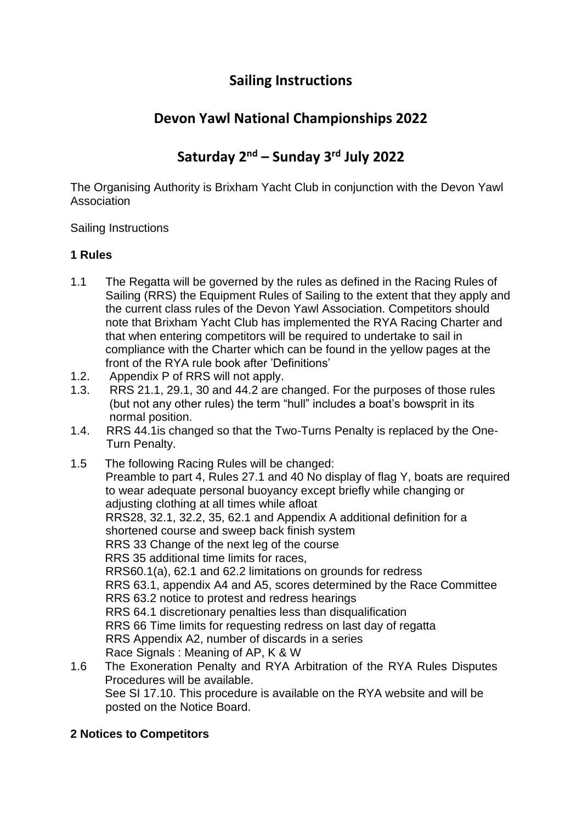# **Sailing Instructions**

# **Devon Yawl National Championships 2022**

# **Saturday 2nd – Sunday 3rd July 2022**

The Organising Authority is Brixham Yacht Club in conjunction with the Devon Yawl Association

Sailing Instructions

# **1 Rules**

- 1.1 The Regatta will be governed by the rules as defined in the Racing Rules of Sailing (RRS) the Equipment Rules of Sailing to the extent that they apply and the current class rules of the Devon Yawl Association. Competitors should note that Brixham Yacht Club has implemented the RYA Racing Charter and that when entering competitors will be required to undertake to sail in compliance with the Charter which can be found in the yellow pages at the front of the RYA rule book after 'Definitions'
- 1.2. Appendix P of RRS will not apply.
- 1.3. RRS 21.1, 29.1, 30 and 44.2 are changed. For the purposes of those rules (but not any other rules) the term "hull" includes a boat's bowsprit in its normal position.
- 1.4. RRS 44.1is changed so that the Two-Turns Penalty is replaced by the One- Turn Penalty.

1.5 The following Racing Rules will be changed: Preamble to part 4, Rules 27.1 and 40 No display of flag Y, boats are required to wear adequate personal buoyancy except briefly while changing or adjusting clothing at all times while afloat RRS28, 32.1, 32.2, 35, 62.1 and Appendix A additional definition for a shortened course and sweep back finish system RRS 33 Change of the next leg of the course RRS 35 additional time limits for races, RRS60.1(a), 62.1 and 62.2 limitations on grounds for redress RRS 63.1, appendix A4 and A5, scores determined by the Race Committee RRS 63.2 notice to protest and redress hearings RRS 64.1 discretionary penalties less than disqualification RRS 66 Time limits for requesting redress on last day of regatta RRS Appendix A2, number of discards in a series Race Signals : Meaning of AP, K & W

1.6 The Exoneration Penalty and RYA Arbitration of the RYA Rules Disputes Procedures will be available. See SI 17.10. This procedure is available on the RYA website and will be posted on the Notice Board.

# **2 Notices to Competitors**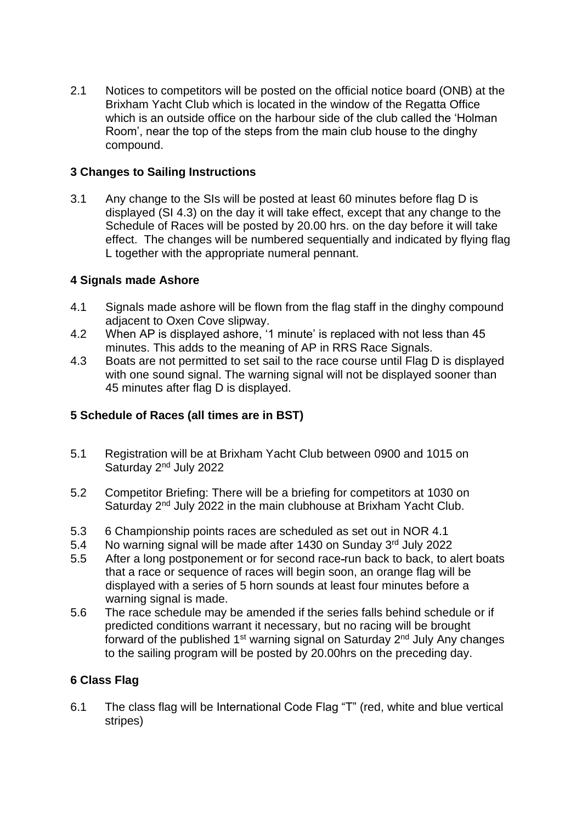2.1 Notices to competitors will be posted on the official notice board (ONB) at the Brixham Yacht Club which is located in the window of the Regatta Office which is an outside office on the harbour side of the club called the 'Holman Room', near the top of the steps from the main club house to the dinghy compound.

### **3 Changes to Sailing Instructions**

3.1 Any change to the SIs will be posted at least 60 minutes before flag D is displayed (SI 4.3) on the day it will take effect, except that any change to the Schedule of Races will be posted by 20.00 hrs. on the day before it will take effect. The changes will be numbered sequentially and indicated by flying flag L together with the appropriate numeral pennant.

# **4 Signals made Ashore**

- 4.1 Signals made ashore will be flown from the flag staff in the dinghy compound adjacent to Oxen Cove slipway.
- 4.2 When AP is displayed ashore, '1 minute' is replaced with not less than 45 minutes. This adds to the meaning of AP in RRS Race Signals.
- 4.3 Boats are not permitted to set sail to the race course until Flag D is displayed with one sound signal. The warning signal will not be displayed sooner than 45 minutes after flag D is displayed.

# **5 Schedule of Races (all times are in BST)**

- 5.1 Registration will be at Brixham Yacht Club between 0900 and 1015 on Saturday 2<sup>nd</sup> July 2022
- 5.2 Competitor Briefing: There will be a briefing for competitors at 1030 on Saturday 2<sup>nd</sup> July 2022 in the main clubhouse at Brixham Yacht Club.
- 5.3 6 Championship points races are scheduled as set out in NOR 4.1
- 5.4 No warning signal will be made after 1430 on Sunday 3rd July 2022
- 5.5 After a long postponement or for second race run back to back, to alert boats that a race or sequence of races will begin soon, an orange flag will be displayed with a series of 5 horn sounds at least four minutes before a warning signal is made.
- 5.6 The race schedule may be amended if the series falls behind schedule or if predicted conditions warrant it necessary, but no racing will be brought forward of the published 1<sup>st</sup> warning signal on Saturday 2<sup>nd</sup> July Any changes to the sailing program will be posted by 20.00hrs on the preceding day.

# **6 Class Flag**

6.1 The class flag will be International Code Flag "T" (red, white and blue vertical stripes)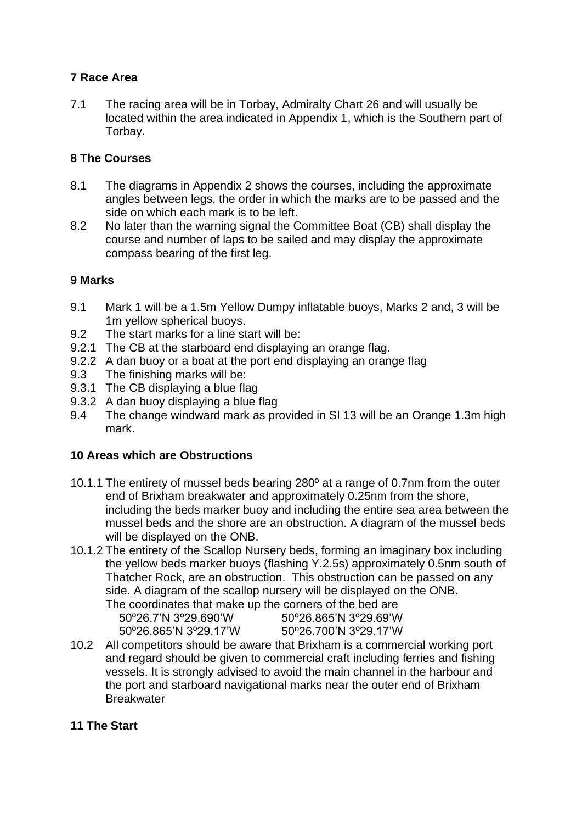# **7 Race Area**

7.1 The racing area will be in Torbay, Admiralty Chart 26 and will usually be located within the area indicated in Appendix 1, which is the Southern part of Torbay.

# **8 The Courses**

- 8.1 The diagrams in Appendix 2 shows the courses, including the approximate angles between legs, the order in which the marks are to be passed and the side on which each mark is to be left.
- 8.2 No later than the warning signal the Committee Boat (CB) shall display the course and number of laps to be sailed and may display the approximate compass bearing of the first leg.

# **9 Marks**

- 9.1 Mark 1 will be a 1.5m Yellow Dumpy inflatable buoys, Marks 2 and, 3 will be 1m yellow spherical buoys.
- 9.2 The start marks for a line start will be:
- 9.2.1 The CB at the starboard end displaying an orange flag.
- 9.2.2 A dan buoy or a boat at the port end displaying an orange flag
- 9.3 The finishing marks will be:
- 9.3.1 The CB displaying a blue flag
- 9.3.2 A dan buoy displaying a blue flag
- 9.4 The change windward mark as provided in SI 13 will be an Orange 1.3m high mark.

# **10 Areas which are Obstructions**

- 10.1.1 The entirety of mussel beds bearing 280º at a range of 0.7nm from the outer end of Brixham breakwater and approximately 0.25nm from the shore, including the beds marker buoy and including the entire sea area between the mussel beds and the shore are an obstruction. A diagram of the mussel beds will be displayed on the ONB.
- 10.1.2 The entirety of the Scallop Nursery beds, forming an imaginary box including the yellow beds marker buoys (flashing Y.2.5s) approximately 0.5nm south of Thatcher Rock, are an obstruction. This obstruction can be passed on any side. A diagram of the scallop nursery will be displayed on the ONB.

| The coordinates that make up the corners of the bed are |                       |
|---------------------------------------------------------|-----------------------|
| 50°26.7'N 3°29.690'W                                    | 50°26.865'N 3°29.69'W |
| 50°26.865'N 3°29.17'W                                   | 50°26.700'N 3°29.17'W |
|                                                         |                       |

10.2 All competitors should be aware that Brixham is a commercial working port and regard should be given to commercial craft including ferries and fishing vessels. It is strongly advised to avoid the main channel in the harbour and the port and starboard navigational marks near the outer end of Brixham **Breakwater** 

# **11 The Start**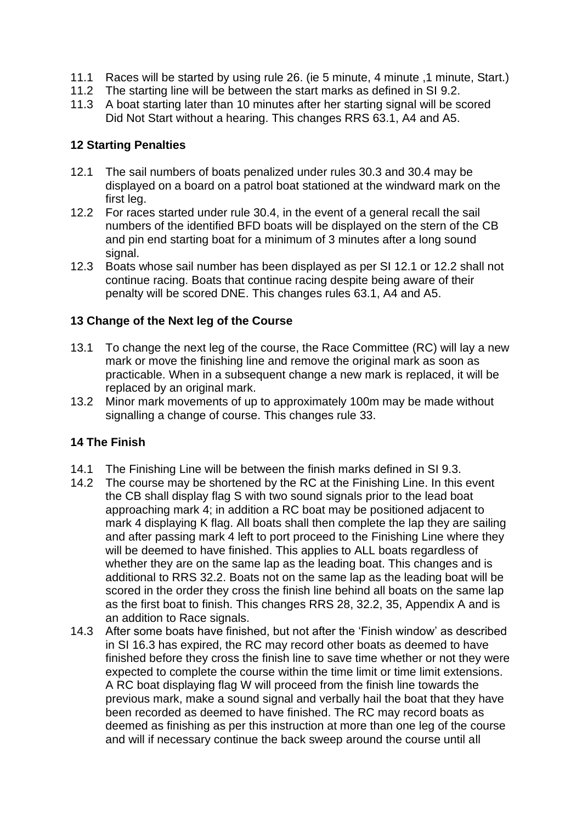- 11.1 Races will be started by using rule 26. (ie 5 minute, 4 minute ,1 minute, Start.)
- 11.2 The starting line will be between the start marks as defined in SI 9.2.
- 11.3 A boat starting later than 10 minutes after her starting signal will be scored Did Not Start without a hearing. This changes RRS 63.1, A4 and A5.

### **12 Starting Penalties**

- 12.1 The sail numbers of boats penalized under rules 30.3 and 30.4 may be displayed on a board on a patrol boat stationed at the windward mark on the first leg.
- 12.2 For races started under rule 30.4, in the event of a general recall the sail numbers of the identified BFD boats will be displayed on the stern of the CB and pin end starting boat for a minimum of 3 minutes after a long sound signal.
- 12.3 Boats whose sail number has been displayed as per SI 12.1 or 12.2 shall not continue racing. Boats that continue racing despite being aware of their penalty will be scored DNE. This changes rules 63.1, A4 and A5.

# **13 Change of the Next leg of the Course**

- 13.1 To change the next leg of the course, the Race Committee (RC) will lay a new mark or move the finishing line and remove the original mark as soon as practicable. When in a subsequent change a new mark is replaced, it will be replaced by an original mark.
- 13.2 Minor mark movements of up to approximately 100m may be made without signalling a change of course. This changes rule 33.

# **14 The Finish**

- 14.1 The Finishing Line will be between the finish marks defined in SI 9.3.
- 14.2 The course may be shortened by the RC at the Finishing Line. In this event the CB shall display flag S with two sound signals prior to the lead boat approaching mark 4; in addition a RC boat may be positioned adjacent to mark 4 displaying K flag. All boats shall then complete the lap they are sailing and after passing mark 4 left to port proceed to the Finishing Line where they will be deemed to have finished. This applies to ALL boats regardless of whether they are on the same lap as the leading boat. This changes and is additional to RRS 32.2. Boats not on the same lap as the leading boat will be scored in the order they cross the finish line behind all boats on the same lap as the first boat to finish. This changes RRS 28, 32.2, 35, Appendix A and is an addition to Race signals.
- 14.3 After some boats have finished, but not after the 'Finish window' as described in SI 16.3 has expired, the RC may record other boats as deemed to have finished before they cross the finish line to save time whether or not they were expected to complete the course within the time limit or time limit extensions. A RC boat displaying flag W will proceed from the finish line towards the previous mark, make a sound signal and verbally hail the boat that they have been recorded as deemed to have finished. The RC may record boats as deemed as finishing as per this instruction at more than one leg of the course and will if necessary continue the back sweep around the course until all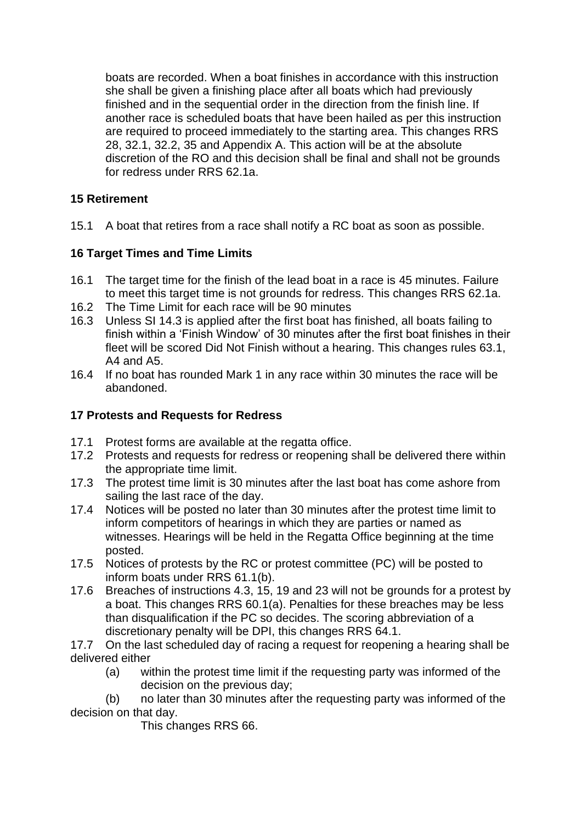boats are recorded. When a boat finishes in accordance with this instruction she shall be given a finishing place after all boats which had previously finished and in the sequential order in the direction from the finish line. If another race is scheduled boats that have been hailed as per this instruction are required to proceed immediately to the starting area. This changes RRS 28, 32.1, 32.2, 35 and Appendix A. This action will be at the absolute discretion of the RO and this decision shall be final and shall not be grounds for redress under RRS 62.1a.

# **15 Retirement**

15.1 A boat that retires from a race shall notify a RC boat as soon as possible.

# **16 Target Times and Time Limits**

- 16.1 The target time for the finish of the lead boat in a race is 45 minutes. Failure to meet this target time is not grounds for redress. This changes RRS 62.1a.
- 16.2 The Time Limit for each race will be 90 minutes
- 16.3 Unless SI 14.3 is applied after the first boat has finished, all boats failing to finish within a 'Finish Window' of 30 minutes after the first boat finishes in their fleet will be scored Did Not Finish without a hearing. This changes rules 63.1, A4 and A5.
- 16.4 If no boat has rounded Mark 1 in any race within 30 minutes the race will be abandoned.

# **17 Protests and Requests for Redress**

- 17.1 Protest forms are available at the regatta office.
- 17.2 Protests and requests for redress or reopening shall be delivered there within the appropriate time limit.
- 17.3 The protest time limit is 30 minutes after the last boat has come ashore from sailing the last race of the day.
- 17.4 Notices will be posted no later than 30 minutes after the protest time limit to inform competitors of hearings in which they are parties or named as witnesses. Hearings will be held in the Regatta Office beginning at the time posted.
- 17.5 Notices of protests by the RC or protest committee (PC) will be posted to inform boats under RRS 61.1(b).
- 17.6 Breaches of instructions 4.3, 15, 19 and 23 will not be grounds for a protest by a boat. This changes RRS 60.1(a). Penalties for these breaches may be less than disqualification if the PC so decides. The scoring abbreviation of a discretionary penalty will be DPI, this changes RRS 64.1.

17.7 On the last scheduled day of racing a request for reopening a hearing shall be delivered either

(a) within the protest time limit if the requesting party was informed of the decision on the previous day;

(b) no later than 30 minutes after the requesting party was informed of the decision on that day.

This changes RRS 66.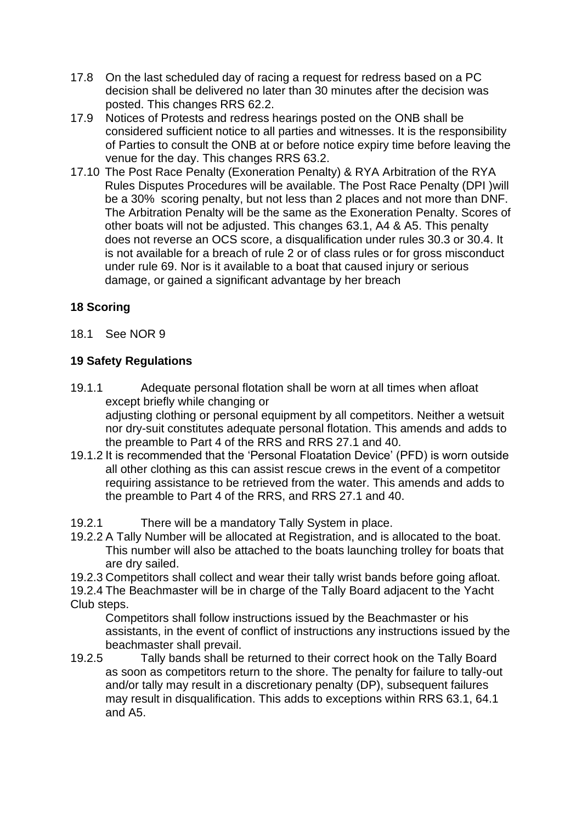- 17.8 On the last scheduled day of racing a request for redress based on a PC decision shall be delivered no later than 30 minutes after the decision was posted. This changes RRS 62.2.
- 17.9 Notices of Protests and redress hearings posted on the ONB shall be considered sufficient notice to all parties and witnesses. It is the responsibility of Parties to consult the ONB at or before notice expiry time before leaving the venue for the day. This changes RRS 63.2.
- 17.10 The Post Race Penalty (Exoneration Penalty) & RYA Arbitration of the RYA Rules Disputes Procedures will be available. The Post Race Penalty (DPI )will be a 30% scoring penalty, but not less than 2 places and not more than DNF. The Arbitration Penalty will be the same as the Exoneration Penalty. Scores of other boats will not be adjusted. This changes 63.1, A4 & A5. This penalty does not reverse an OCS score, a disqualification under rules 30.3 or 30.4. It is not available for a breach of rule 2 or of class rules or for gross misconduct under rule 69. Nor is it available to a boat that caused injury or serious damage, or gained a significant advantage by her breach

# **18 Scoring**

18.1 See NOR 9

# **19 Safety Regulations**

- 19.1.1 Adequate personal flotation shall be worn at all times when afloat except briefly while changing or adjusting clothing or personal equipment by all competitors. Neither a wetsuit nor dry-suit constitutes adequate personal flotation. This amends and adds to the preamble to Part 4 of the RRS and RRS 27.1 and 40.
- 19.1.2 It is recommended that the 'Personal Floatation Device' (PFD) is worn outside all other clothing as this can assist rescue crews in the event of a competitor requiring assistance to be retrieved from the water. This amends and adds to the preamble to Part 4 of the RRS, and RRS 27.1 and 40.
- 19.2.1 There will be a mandatory Tally System in place.
- 19.2.2 A Tally Number will be allocated at Registration, and is allocated to the boat. This number will also be attached to the boats launching trolley for boats that are dry sailed.
- 19.2.3 Competitors shall collect and wear their tally wrist bands before going afloat.
- 19.2.4 The Beachmaster will be in charge of the Tally Board adjacent to the Yacht Club steps.

Competitors shall follow instructions issued by the Beachmaster or his assistants, in the event of conflict of instructions any instructions issued by the beachmaster shall prevail.

19.2.5 Tally bands shall be returned to their correct hook on the Tally Board as soon as competitors return to the shore. The penalty for failure to tally-out and/or tally may result in a discretionary penalty (DP), subsequent failures may result in disqualification. This adds to exceptions within RRS 63.1, 64.1 and A5.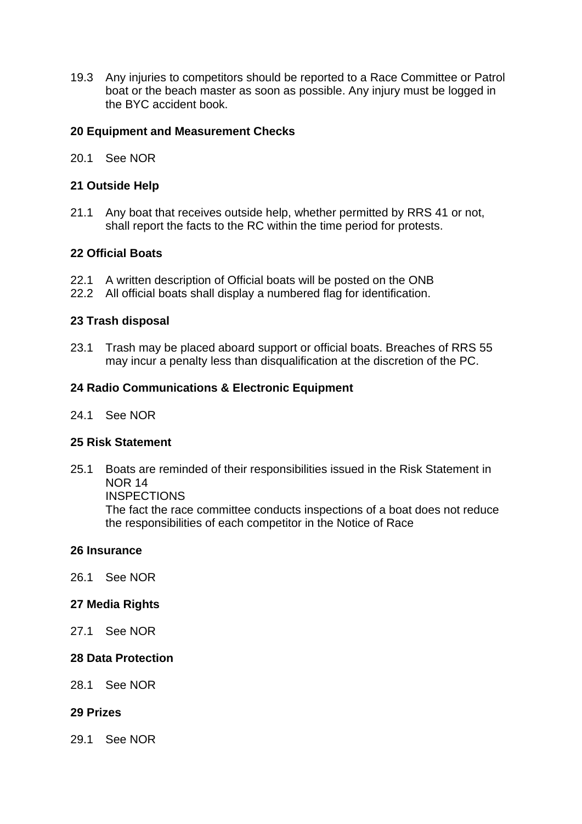19.3 Any injuries to competitors should be reported to a Race Committee or Patrol boat or the beach master as soon as possible. Any injury must be logged in the BYC accident book.

### **20 Equipment and Measurement Checks**

20.1 See NOR

### **21 Outside Help**

21.1 Any boat that receives outside help, whether permitted by RRS 41 or not, shall report the facts to the RC within the time period for protests.

### **22 Official Boats**

- 22.1 A written description of Official boats will be posted on the ONB
- 22.2 All official boats shall display a numbered flag for identification.

### **23 Trash disposal**

23.1 Trash may be placed aboard support or official boats. Breaches of RRS 55 may incur a penalty less than disqualification at the discretion of the PC.

### **24 Radio Communications & Electronic Equipment**

24.1 See NOR

#### **25 Risk Statement**

25.1 Boats are reminded of their responsibilities issued in the Risk Statement in NOR 14

**INSPECTIONS** 

The fact the race committee conducts inspections of a boat does not reduce the responsibilities of each competitor in the Notice of Race

#### **26 Insurance**

26.1 See NOR

#### **27 Media Rights**

27.1 See NOR

#### **28 Data Protection**

28.1 See NOR

#### **29 Prizes**

29.1 See NOR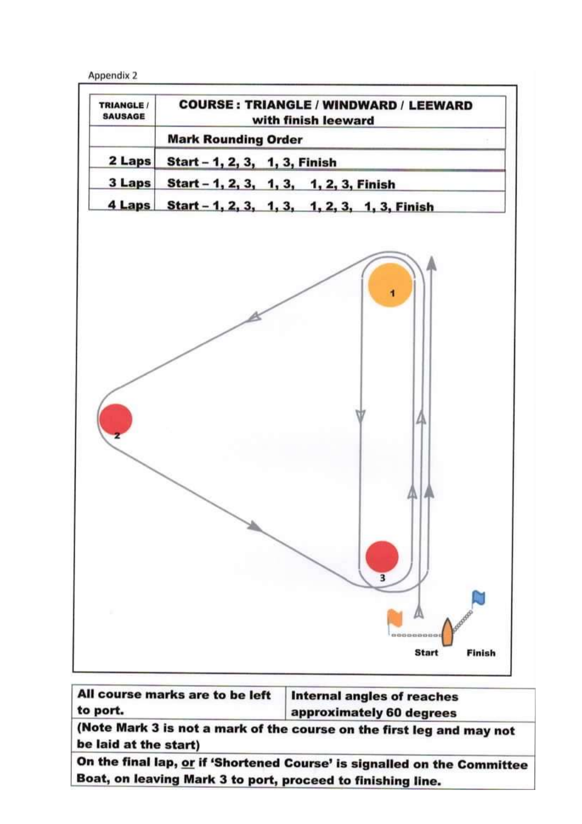Appendix 2



All course marks are to be left **Internal angles of reaches** to port. approximately 60 degrees

(Note Mark 3 is not a mark of the course on the first leg and may not be laid at the start)

On the final lap, or if 'Shortened Course' is signalled on the Committee Boat, on leaving Mark 3 to port, proceed to finishing line.